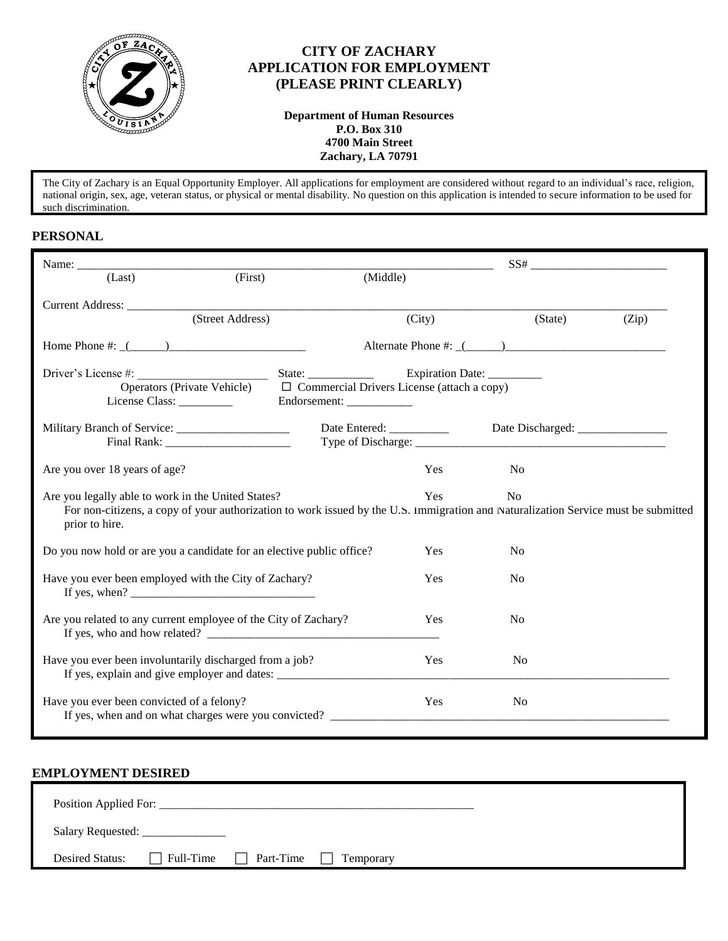

## **CITY OF ZACHARY APPLICATION FOR EMPLOYMENT (PLEASE PRINT CLEARLY)**

**Department of Human Resources P.O. Box 310 4700 Main Street Zachary, LA 70791** 

The City of Zachary is an Equal Opportunity Employer. All applications for employment are considered without regard to an individual's race, religion, national origin, sex, age, veteran status, or physical or mental disability. No question on this application is intended to secure information to be used for such discrimination.

# **PERSONAL**

| (Last)                                                                                                                                               | (First)          | (Middle) |            |                                                                                   |       |
|------------------------------------------------------------------------------------------------------------------------------------------------------|------------------|----------|------------|-----------------------------------------------------------------------------------|-------|
|                                                                                                                                                      |                  |          |            |                                                                                   |       |
|                                                                                                                                                      | (Street Address) |          | (City)     | (State)                                                                           | (Zip) |
|                                                                                                                                                      |                  |          |            |                                                                                   |       |
|                                                                                                                                                      |                  |          |            |                                                                                   |       |
|                                                                                                                                                      |                  |          |            |                                                                                   |       |
|                                                                                                                                                      |                  |          |            |                                                                                   |       |
|                                                                                                                                                      |                  |          |            | Date Entered: ________________ Date Discharged: _________________________________ |       |
|                                                                                                                                                      |                  |          |            |                                                                                   |       |
| Are you over 18 years of age?                                                                                                                        |                  |          | Yes        | N <sub>0</sub>                                                                    |       |
| Are you legally able to work in the United States?                                                                                                   |                  |          | Yes        | N <sub>0</sub>                                                                    |       |
| For non-citizens, a copy of your authorization to work issued by the U.S. Immigration and Naturalization Service must be submitted<br>prior to hire. |                  |          |            |                                                                                   |       |
| Do you now hold or are you a candidate for an elective public office?                                                                                |                  |          | Yes        | N <sub>0</sub>                                                                    |       |
| Have you ever been employed with the City of Zachary?                                                                                                |                  |          | <b>Yes</b> | N <sub>0</sub>                                                                    |       |
| Are you related to any current employee of the City of Zachary?                                                                                      |                  |          | <b>Yes</b> | N <sub>0</sub>                                                                    |       |
| Have you ever been involuntarily discharged from a job?                                                                                              |                  |          | Yes        | N <sub>o</sub>                                                                    |       |
|                                                                                                                                                      |                  |          |            |                                                                                   |       |

### **EMPLOYMENT DESIRED**

| Position Applied For: |           |           |           |  |
|-----------------------|-----------|-----------|-----------|--|
| Salary Requested:     |           |           |           |  |
| Desired Status:       | Full-Time | Part-Time | Temporary |  |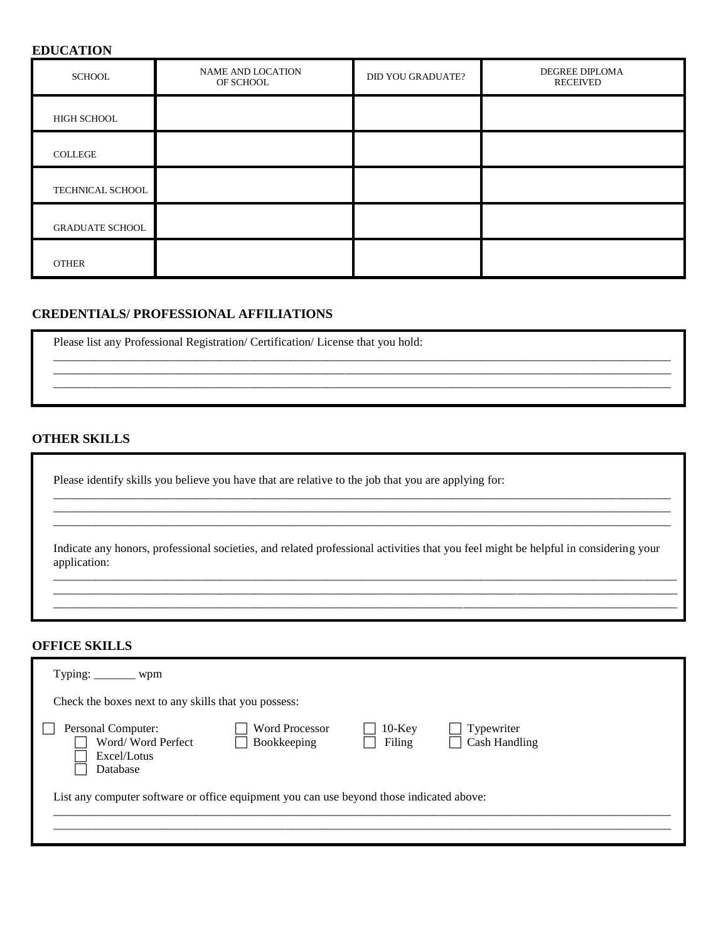#### **EDUCATION**

| SCHOOL                 | <b>NAME AND LOCATION</b><br>OF SCHOOL | <b>DID YOU GRADUATE?</b> | DEGREE DIPLOMA<br><b>RECEIVED</b> |
|------------------------|---------------------------------------|--------------------------|-----------------------------------|
| HIGH SCHOOL            |                                       |                          |                                   |
| <b>COLLEGE</b>         |                                       |                          |                                   |
| TECHNICAL SCHOOL       |                                       |                          |                                   |
| <b>GRADUATE SCHOOL</b> |                                       |                          |                                   |
| <b>OTHER</b>           |                                       |                          |                                   |

### **CREDENTIALS/ PROFESSIONAL AFFILIATIONS**

Please list any Professional Registration/ Certification/ License that you hold:

### **OTHER SKILLS**

Please identify skills you believe you have that are relative to the job that you are applying for:

\_\_\_\_\_\_\_\_\_\_\_\_\_\_\_\_\_\_\_\_\_\_\_\_\_\_\_\_\_\_\_\_\_\_\_\_\_\_\_\_\_\_\_\_\_\_\_\_\_\_\_\_\_\_\_\_\_\_\_\_\_\_\_\_\_\_\_\_\_\_\_\_\_\_\_\_\_\_\_\_\_\_\_\_\_\_\_\_\_\_\_\_\_\_\_\_\_\_\_\_\_\_\_\_

Indicate any honors, professional societies, and related professional activities that you feel might be helpful in considering your application:

\_\_\_\_\_\_\_\_\_\_\_\_\_\_\_\_\_\_\_\_\_\_\_\_\_\_\_\_\_\_\_\_\_\_\_\_\_\_\_\_\_\_\_\_\_\_\_\_\_\_\_\_\_\_\_\_\_\_\_\_\_\_\_\_\_\_\_\_\_\_\_\_\_\_\_\_\_\_\_\_\_\_\_\_\_\_\_\_\_\_\_\_\_\_\_\_\_\_\_\_\_\_\_\_\_ \_\_\_\_\_\_\_\_\_\_\_\_\_\_\_\_\_\_\_\_\_\_\_\_\_\_\_\_\_\_\_\_\_\_\_\_\_\_\_\_\_\_\_\_\_\_\_\_\_\_\_\_\_\_\_\_\_\_\_\_\_\_\_\_\_\_\_\_\_\_\_\_\_\_\_\_\_\_\_\_\_\_\_\_\_\_\_\_\_\_\_\_\_\_\_\_\_\_\_\_\_\_\_\_\_ \_\_\_\_\_\_\_\_\_\_\_\_\_\_\_\_\_\_\_\_\_\_\_\_\_\_\_\_\_\_\_\_\_\_\_\_\_\_\_\_\_\_\_\_\_\_\_\_\_\_\_\_\_\_\_\_\_\_\_\_\_\_\_\_\_\_\_\_\_\_\_\_\_\_\_\_\_\_\_\_\_\_\_\_\_\_\_\_\_\_\_\_\_\_\_\_\_\_\_\_\_\_\_\_\_

\_\_\_\_\_\_\_\_\_\_\_\_\_\_\_\_\_\_\_\_\_\_\_\_\_\_\_\_\_\_\_\_\_\_\_\_\_\_\_\_\_\_\_\_\_\_\_\_\_\_\_\_\_\_\_\_\_\_\_\_\_\_\_\_\_\_\_\_\_\_\_\_\_\_\_\_\_\_\_\_\_\_\_\_\_\_\_\_\_\_\_\_\_\_\_\_\_\_\_\_\_\_\_\_ \_\_\_\_\_\_\_\_\_\_\_\_\_\_\_\_\_\_\_\_\_\_\_\_\_\_\_\_\_\_\_\_\_\_\_\_\_\_\_\_\_\_\_\_\_\_\_\_\_\_\_\_\_\_\_\_\_\_\_\_\_\_\_\_\_\_\_\_\_\_\_\_\_\_\_\_\_\_\_\_\_\_\_\_\_\_\_\_\_\_\_\_\_\_\_\_\_\_\_\_\_\_\_\_ \_\_\_\_\_\_\_\_\_\_\_\_\_\_\_\_\_\_\_\_\_\_\_\_\_\_\_\_\_\_\_\_\_\_\_\_\_\_\_\_\_\_\_\_\_\_\_\_\_\_\_\_\_\_\_\_\_\_\_\_\_\_\_\_\_\_\_\_\_\_\_\_\_\_\_\_\_\_\_\_\_\_\_\_\_\_\_\_\_\_\_\_\_\_\_\_\_\_\_\_\_\_\_\_

\_\_\_\_\_\_\_\_\_\_\_\_\_\_\_\_\_\_\_\_\_\_\_\_\_\_\_\_\_\_\_\_\_\_\_\_\_\_\_\_\_\_\_\_\_\_\_\_\_\_\_\_\_\_\_\_\_\_\_\_\_\_\_\_\_\_\_\_\_\_\_\_\_\_\_\_\_\_\_\_\_\_\_\_\_\_\_\_\_\_\_\_\_\_\_\_\_\_\_\_\_\_\_\_ \_\_\_\_\_\_\_\_\_\_\_\_\_\_\_\_\_\_\_\_\_\_\_\_\_\_\_\_\_\_\_\_\_\_\_\_\_\_\_\_\_\_\_\_\_\_\_\_\_\_\_\_\_\_\_\_\_\_\_\_\_\_\_\_\_\_\_\_\_\_\_\_\_\_\_\_\_\_\_\_\_\_\_\_\_\_\_\_\_\_\_\_\_\_\_\_\_\_\_\_\_\_\_\_

#### **OFFICE SKILLS**

| Check the boxes next to any skills that you possess:                                     |                                      |                     |                             |  |  |  |
|------------------------------------------------------------------------------------------|--------------------------------------|---------------------|-----------------------------|--|--|--|
| Personal Computer:<br>Word/Word Perfect<br>Excel/Lotus<br>Database                       | <b>Word Processor</b><br>Bookkeeping | $10$ -Key<br>Filing | Typewriter<br>Cash Handling |  |  |  |
| List any computer software or office equipment you can use beyond those indicated above: |                                      |                     |                             |  |  |  |
|                                                                                          |                                      |                     |                             |  |  |  |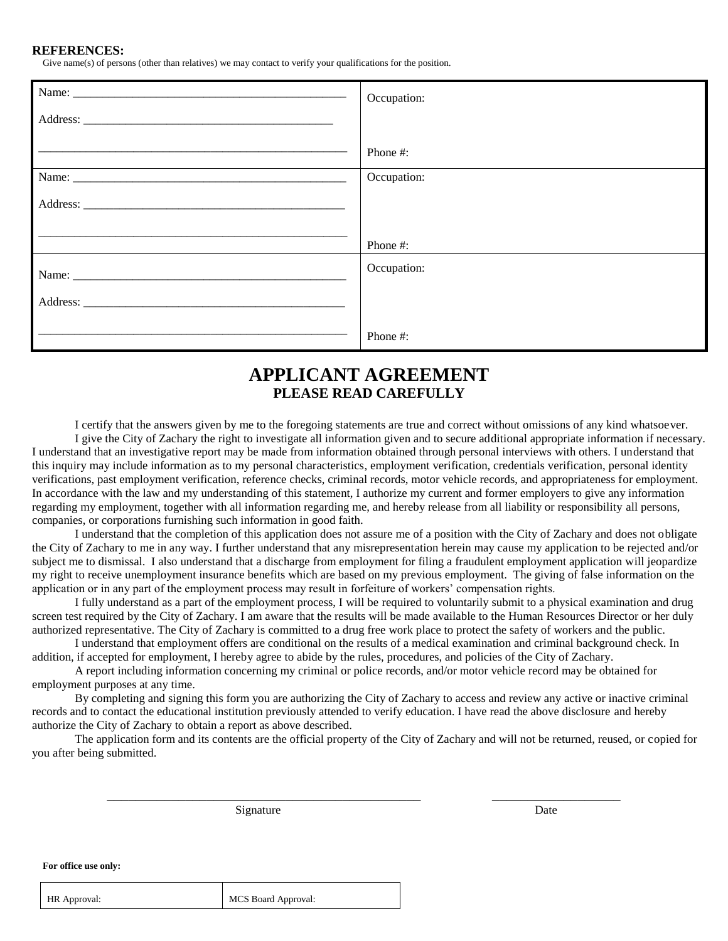#### **REFERENCES:**

Give name(s) of persons (other than relatives) we may contact to verify your qualifications for the position.

| Occupation: |
|-------------|
|             |
| Phone #:    |
| Occupation: |
|             |
| Phone #:    |
| Occupation: |
|             |
| Phone #:    |

# **APPLICANT AGREEMENT PLEASE READ CAREFULLY**

I certify that the answers given by me to the foregoing statements are true and correct without omissions of any kind whatsoever. I give the City of Zachary the right to investigate all information given and to secure additional appropriate information if necessary. I understand that an investigative report may be made from information obtained through personal interviews with others. I understand that this inquiry may include information as to my personal characteristics, employment verification, credentials verification, personal identity verifications, past employment verification, reference checks, criminal records, motor vehicle records, and appropriateness for employment. In accordance with the law and my understanding of this statement, I authorize my current and former employers to give any information regarding my employment, together with all information regarding me, and hereby release from all liability or responsibility all persons, companies, or corporations furnishing such information in good faith.

I understand that the completion of this application does not assure me of a position with the City of Zachary and does not obligate the City of Zachary to me in any way. I further understand that any misrepresentation herein may cause my application to be rejected and/or subject me to dismissal. I also understand that a discharge from employment for filing a fraudulent employment application will jeopardize my right to receive unemployment insurance benefits which are based on my previous employment. The giving of false information on the application or in any part of the employment process may result in forfeiture of workers' compensation rights.

I fully understand as a part of the employment process, I will be required to voluntarily submit to a physical examination and drug screen test required by the City of Zachary. I am aware that the results will be made available to the Human Resources Director or her duly authorized representative. The City of Zachary is committed to a drug free work place to protect the safety of workers and the public.

I understand that employment offers are conditional on the results of a medical examination and criminal background check. In addition, if accepted for employment, I hereby agree to abide by the rules, procedures, and policies of the City of Zachary.

A report including information concerning my criminal or police records, and/or motor vehicle record may be obtained for employment purposes at any time.

By completing and signing this form you are authorizing the City of Zachary to access and review any active or inactive criminal records and to contact the educational institution previously attended to verify education. I have read the above disclosure and hereby authorize the City of Zachary to obtain a report as above described.

The application form and its contents are the official property of the City of Zachary and will not be returned, reused, or copied for you after being submitted.

\_\_\_\_\_\_\_\_\_\_\_\_\_\_\_\_\_\_\_\_\_\_\_\_\_\_\_\_\_\_\_\_\_\_\_\_\_\_\_\_\_\_\_\_ \_\_\_\_\_\_\_\_\_\_\_\_\_\_\_\_\_\_

Signature Date

**For office use only:**

HR Approval: MCS Board Approval: